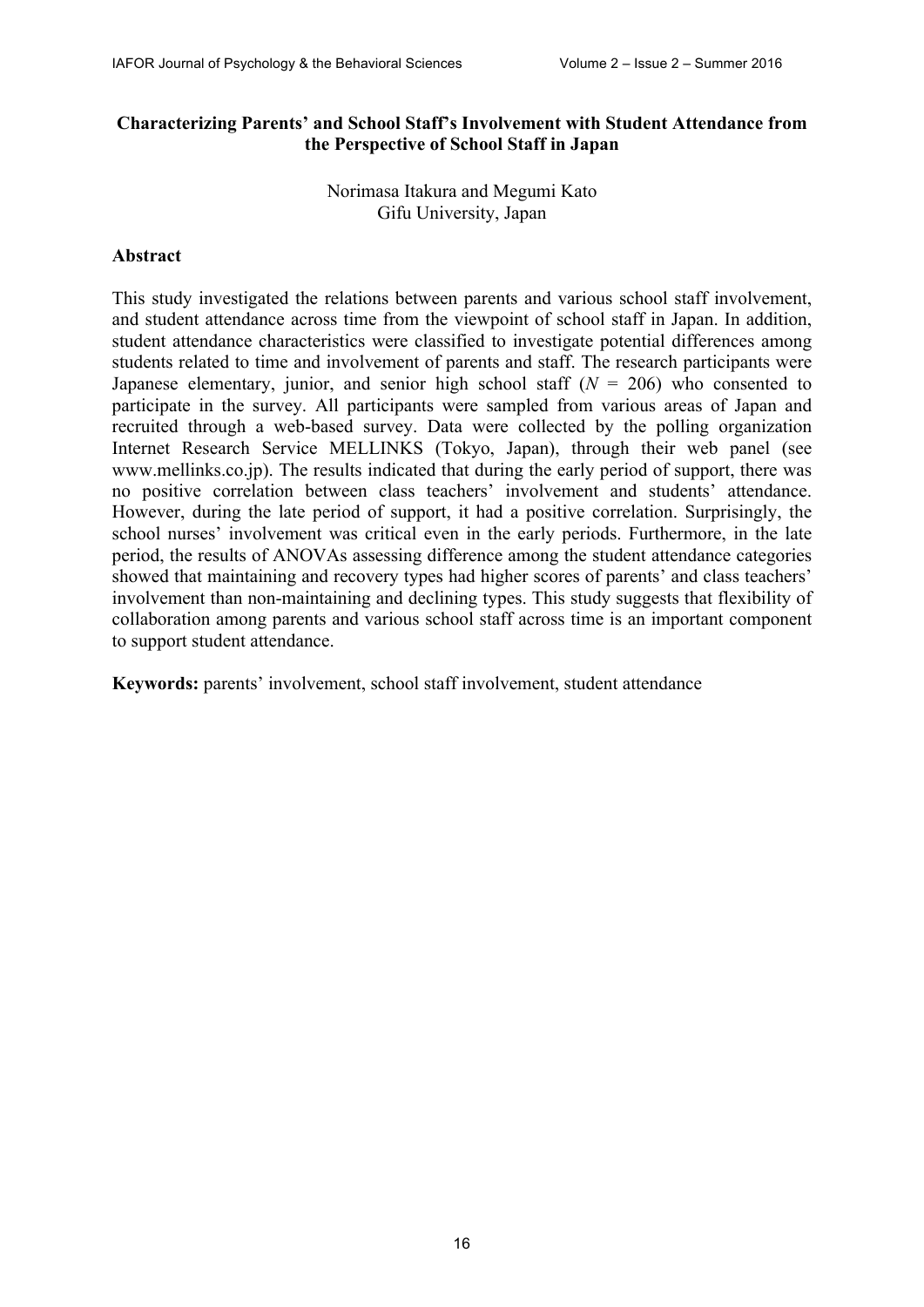### **Characterizing Parents' and School Staff's Involvement with Student Attendance from the Perspective of School Staff in Japan**

Norimasa Itakura and Megumi Kato Gifu University, Japan

### **Abstract**

This study investigated the relations between parents and various school staff involvement, and student attendance across time from the viewpoint of school staff in Japan. In addition, student attendance characteristics were classified to investigate potential differences among students related to time and involvement of parents and staff. The research participants were Japanese elementary, junior, and senior high school staff (*N* = 206) who consented to participate in the survey. All participants were sampled from various areas of Japan and recruited through a web-based survey. Data were collected by the polling organization Internet Research Service MELLINKS (Tokyo, Japan), through their web panel (see www.mellinks.co.jp). The results indicated that during the early period of support, there was no positive correlation between class teachers' involvement and students' attendance. However, during the late period of support, it had a positive correlation. Surprisingly, the school nurses' involvement was critical even in the early periods. Furthermore, in the late period, the results of ANOVAs assessing difference among the student attendance categories showed that maintaining and recovery types had higher scores of parents' and class teachers' involvement than non-maintaining and declining types. This study suggests that flexibility of collaboration among parents and various school staff across time is an important component to support student attendance.

**Keywords:** parents' involvement, school staff involvement, student attendance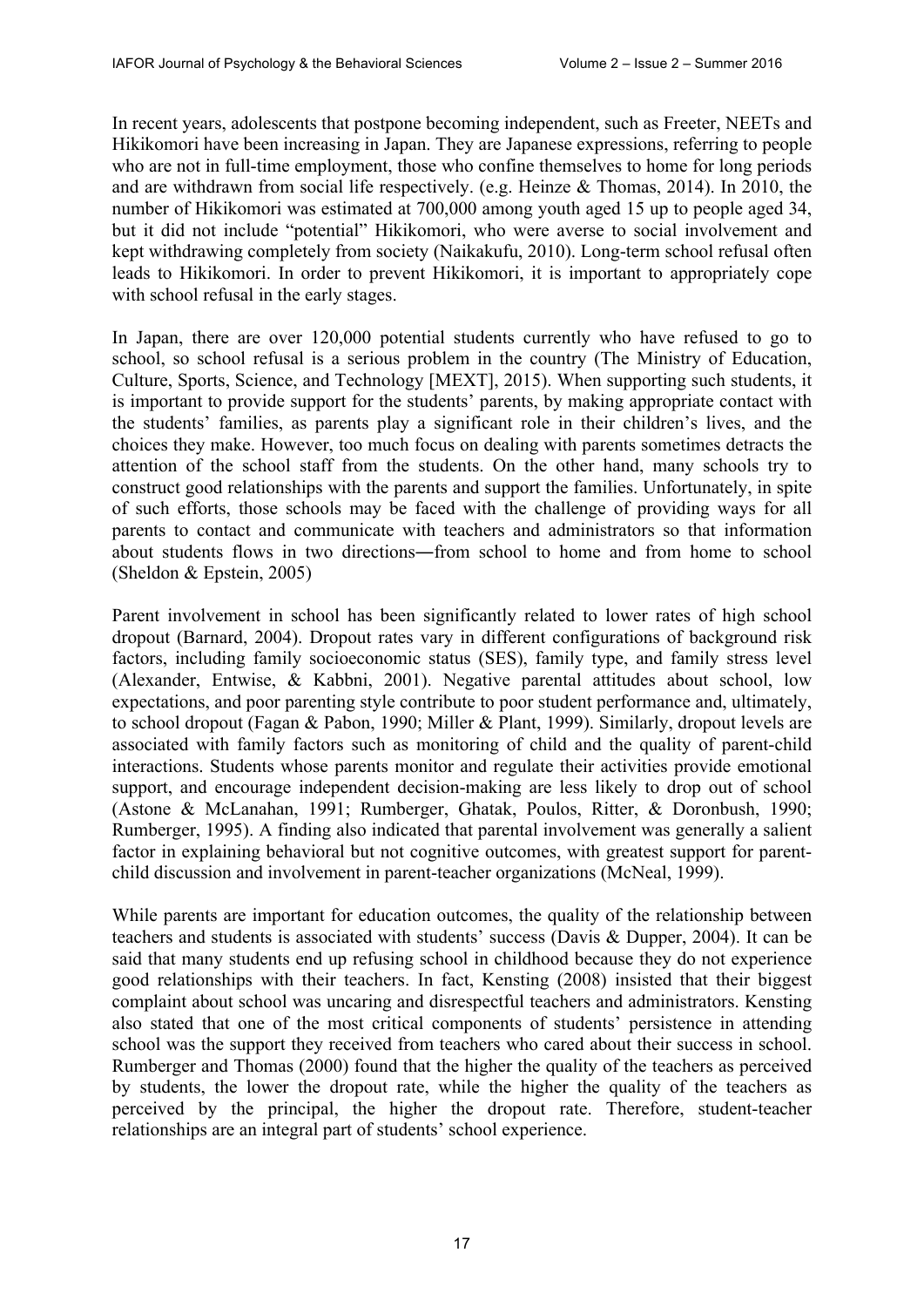In recent years, adolescents that postpone becoming independent, such as Freeter, NEETs and Hikikomori have been increasing in Japan. They are Japanese expressions, referring to people who are not in full-time employment, those who confine themselves to home for long periods and are withdrawn from social life respectively. (e.g. Heinze & Thomas, 2014). In 2010, the number of Hikikomori was estimated at 700,000 among youth aged 15 up to people aged 34, but it did not include "potential" Hikikomori, who were averse to social involvement and kept withdrawing completely from society (Naikakufu, 2010). Long-term school refusal often leads to Hikikomori. In order to prevent Hikikomori, it is important to appropriately cope with school refusal in the early stages.

In Japan, there are over 120,000 potential students currently who have refused to go to school, so school refusal is a serious problem in the country (The Ministry of Education, Culture, Sports, Science, and Technology [MEXT], 2015). When supporting such students, it is important to provide support for the students' parents, by making appropriate contact with the students' families, as parents play a significant role in their children's lives, and the choices they make. However, too much focus on dealing with parents sometimes detracts the attention of the school staff from the students. On the other hand, many schools try to construct good relationships with the parents and support the families. Unfortunately, in spite of such efforts, those schools may be faced with the challenge of providing ways for all parents to contact and communicate with teachers and administrators so that information about students flows in two directions―from school to home and from home to school (Sheldon & Epstein, 2005)

Parent involvement in school has been significantly related to lower rates of high school dropout (Barnard, 2004). Dropout rates vary in different configurations of background risk factors, including family socioeconomic status (SES), family type, and family stress level (Alexander, Entwise, & Kabbni, 2001). Negative parental attitudes about school, low expectations, and poor parenting style contribute to poor student performance and, ultimately, to school dropout (Fagan & Pabon, 1990; Miller & Plant, 1999). Similarly, dropout levels are associated with family factors such as monitoring of child and the quality of parent-child interactions. Students whose parents monitor and regulate their activities provide emotional support, and encourage independent decision-making are less likely to drop out of school (Astone & McLanahan, 1991; Rumberger, Ghatak, Poulos, Ritter, & Doronbush, 1990; Rumberger, 1995). A finding also indicated that parental involvement was generally a salient factor in explaining behavioral but not cognitive outcomes, with greatest support for parentchild discussion and involvement in parent-teacher organizations (McNeal, 1999).

While parents are important for education outcomes, the quality of the relationship between teachers and students is associated with students' success (Davis & Dupper, 2004). It can be said that many students end up refusing school in childhood because they do not experience good relationships with their teachers. In fact, Kensting (2008) insisted that their biggest complaint about school was uncaring and disrespectful teachers and administrators. Kensting also stated that one of the most critical components of students' persistence in attending school was the support they received from teachers who cared about their success in school. Rumberger and Thomas (2000) found that the higher the quality of the teachers as perceived by students, the lower the dropout rate, while the higher the quality of the teachers as perceived by the principal, the higher the dropout rate. Therefore, student-teacher relationships are an integral part of students' school experience.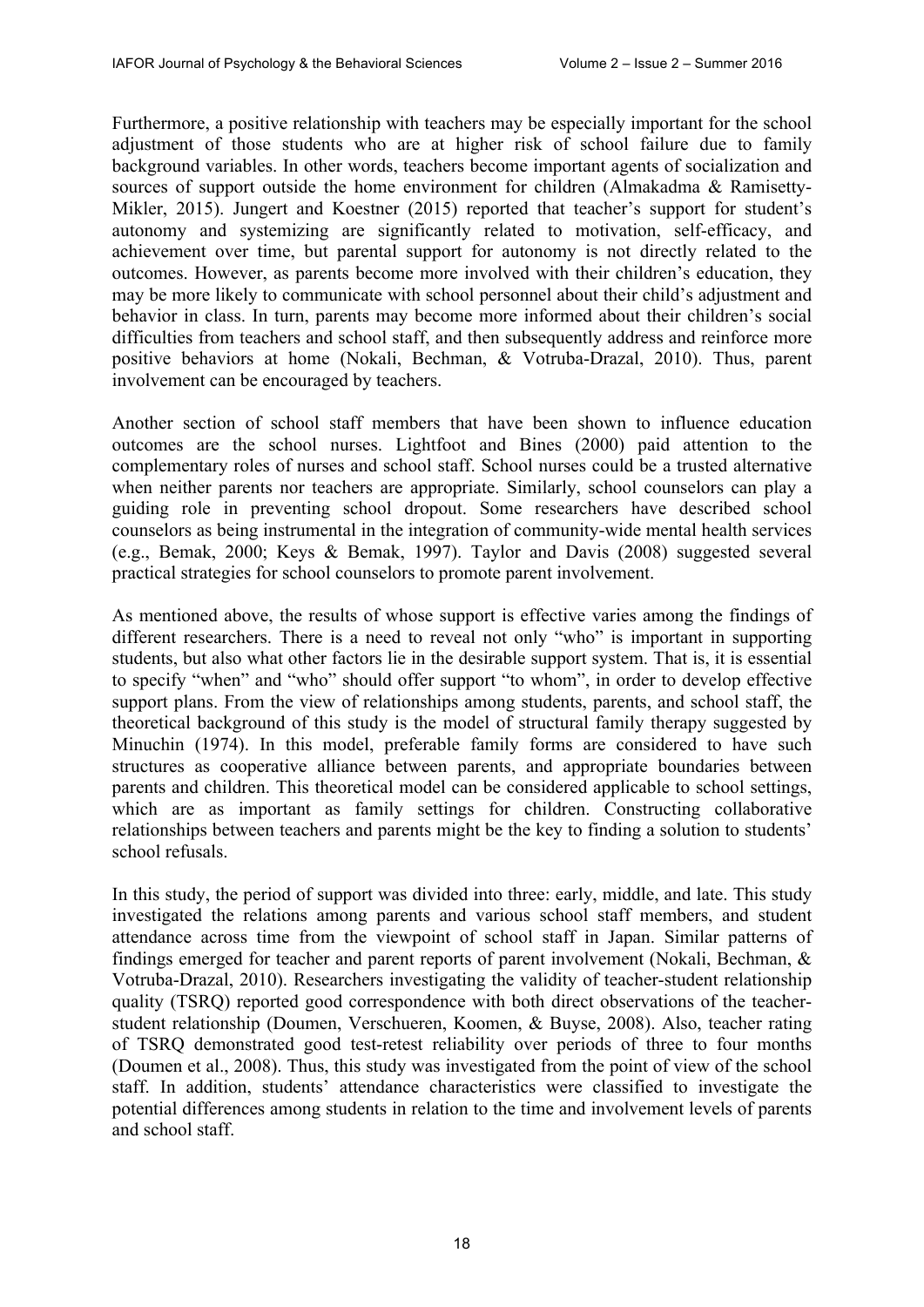Furthermore, a positive relationship with teachers may be especially important for the school adjustment of those students who are at higher risk of school failure due to family background variables. In other words, teachers become important agents of socialization and sources of support outside the home environment for children (Almakadma & Ramisetty-Mikler, 2015). Jungert and Koestner (2015) reported that teacher's support for student's autonomy and systemizing are significantly related to motivation, self-efficacy, and achievement over time, but parental support for autonomy is not directly related to the outcomes. However, as parents become more involved with their children's education, they may be more likely to communicate with school personnel about their child's adjustment and behavior in class. In turn, parents may become more informed about their children's social difficulties from teachers and school staff, and then subsequently address and reinforce more positive behaviors at home (Nokali, Bechman, & Votruba-Drazal, 2010). Thus, parent involvement can be encouraged by teachers.

Another section of school staff members that have been shown to influence education outcomes are the school nurses. Lightfoot and Bines (2000) paid attention to the complementary roles of nurses and school staff. School nurses could be a trusted alternative when neither parents nor teachers are appropriate. Similarly, school counselors can play a guiding role in preventing school dropout. Some researchers have described school counselors as being instrumental in the integration of community-wide mental health services (e.g., Bemak, 2000; Keys & Bemak, 1997). Taylor and Davis (2008) suggested several practical strategies for school counselors to promote parent involvement.

As mentioned above, the results of whose support is effective varies among the findings of different researchers. There is a need to reveal not only "who" is important in supporting students, but also what other factors lie in the desirable support system. That is, it is essential to specify "when" and "who" should offer support "to whom", in order to develop effective support plans. From the view of relationships among students, parents, and school staff, the theoretical background of this study is the model of structural family therapy suggested by Minuchin (1974). In this model, preferable family forms are considered to have such structures as cooperative alliance between parents, and appropriate boundaries between parents and children. This theoretical model can be considered applicable to school settings, which are as important as family settings for children. Constructing collaborative relationships between teachers and parents might be the key to finding a solution to students' school refusals.

In this study, the period of support was divided into three: early, middle, and late. This study investigated the relations among parents and various school staff members, and student attendance across time from the viewpoint of school staff in Japan. Similar patterns of findings emerged for teacher and parent reports of parent involvement (Nokali, Bechman, & Votruba-Drazal, 2010). Researchers investigating the validity of teacher-student relationship quality (TSRQ) reported good correspondence with both direct observations of the teacherstudent relationship (Doumen, Verschueren, Koomen, & Buyse, 2008). Also, teacher rating of TSRQ demonstrated good test-retest reliability over periods of three to four months (Doumen et al., 2008). Thus, this study was investigated from the point of view of the school staff. In addition, students' attendance characteristics were classified to investigate the potential differences among students in relation to the time and involvement levels of parents and school staff.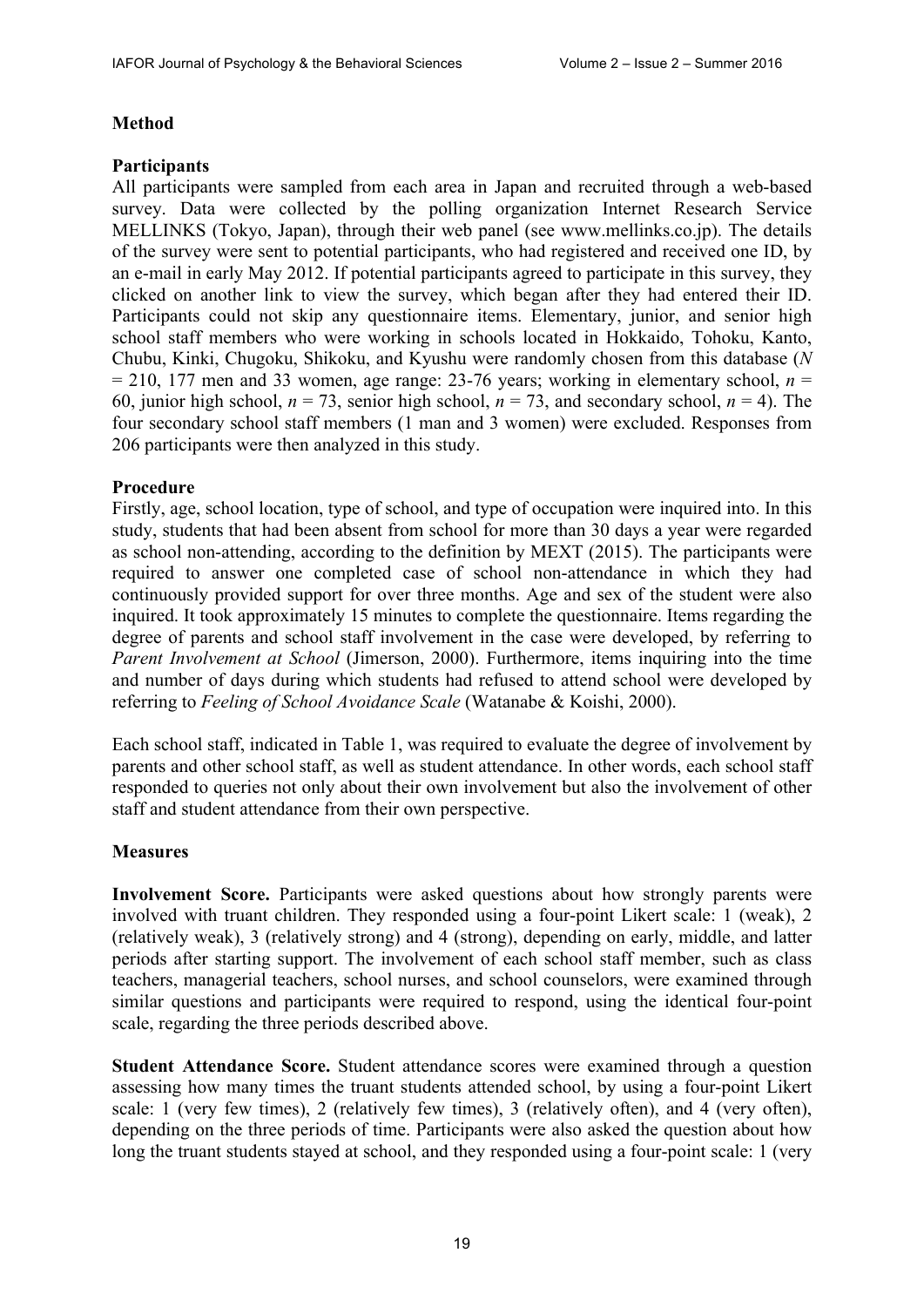## **Method**

## **Participants**

All participants were sampled from each area in Japan and recruited through a web-based survey. Data were collected by the polling organization Internet Research Service MELLINKS (Tokyo, Japan), through their web panel (see www.mellinks.co.jp). The details of the survey were sent to potential participants, who had registered and received one ID, by an e-mail in early May 2012. If potential participants agreed to participate in this survey, they clicked on another link to view the survey, which began after they had entered their ID. Participants could not skip any questionnaire items. Elementary, junior, and senior high school staff members who were working in schools located in Hokkaido, Tohoku, Kanto, Chubu, Kinki, Chugoku, Shikoku, and Kyushu were randomly chosen from this database (*N*  $= 210, 177$  men and 33 women, age range: 23-76 years; working in elementary school,  $n =$ 60, junior high school,  $n = 73$ , senior high school,  $n = 73$ , and secondary school,  $n = 4$ ). The four secondary school staff members (1 man and 3 women) were excluded. Responses from 206 participants were then analyzed in this study.

## **Procedure**

Firstly, age, school location, type of school, and type of occupation were inquired into. In this study, students that had been absent from school for more than 30 days a year were regarded as school non-attending, according to the definition by MEXT (2015). The participants were required to answer one completed case of school non-attendance in which they had continuously provided support for over three months. Age and sex of the student were also inquired. It took approximately 15 minutes to complete the questionnaire. Items regarding the degree of parents and school staff involvement in the case were developed, by referring to *Parent Involvement at School* (Jimerson, 2000). Furthermore, items inquiring into the time and number of days during which students had refused to attend school were developed by referring to *Feeling of School Avoidance Scale* (Watanabe & Koishi, 2000).

Each school staff, indicated in Table 1, was required to evaluate the degree of involvement by parents and other school staff, as well as student attendance. In other words, each school staff responded to queries not only about their own involvement but also the involvement of other staff and student attendance from their own perspective.

## **Measures**

**Involvement Score.** Participants were asked questions about how strongly parents were involved with truant children. They responded using a four-point Likert scale: 1 (weak), 2 (relatively weak), 3 (relatively strong) and 4 (strong), depending on early, middle, and latter periods after starting support. The involvement of each school staff member, such as class teachers, managerial teachers, school nurses, and school counselors, were examined through similar questions and participants were required to respond, using the identical four-point scale, regarding the three periods described above.

**Student Attendance Score.** Student attendance scores were examined through a question assessing how many times the truant students attended school, by using a four-point Likert scale: 1 (very few times), 2 (relatively few times), 3 (relatively often), and 4 (very often), depending on the three periods of time. Participants were also asked the question about how long the truant students stayed at school, and they responded using a four-point scale: 1 (very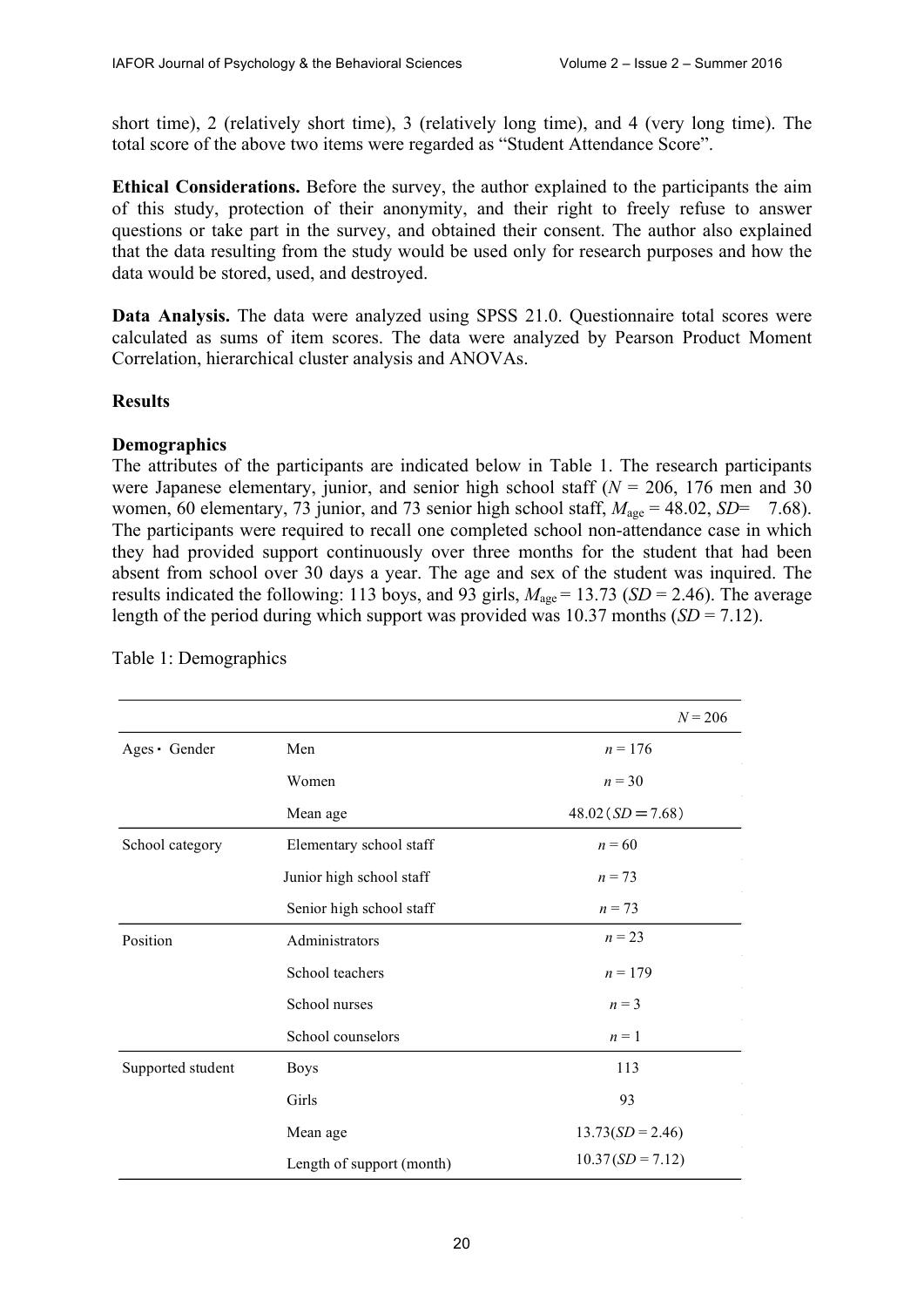short time), 2 (relatively short time), 3 (relatively long time), and 4 (very long time). The total score of the above two items were regarded as "Student Attendance Score".

**Ethical Considerations.** Before the survey, the author explained to the participants the aim of this study, protection of their anonymity, and their right to freely refuse to answer questions or take part in the survey, and obtained their consent. The author also explained that the data resulting from the study would be used only for research purposes and how the data would be stored, used, and destroyed.

**Data Analysis.** The data were analyzed using SPSS 21.0. Questionnaire total scores were calculated as sums of item scores. The data were analyzed by Pearson Product Moment Correlation, hierarchical cluster analysis and ANOVAs.

#### **Results**

### **Demographics**

The attributes of the participants are indicated below in Table 1. The research participants were Japanese elementary, junior, and senior high school staff ( $N = 206$ , 176 men and 30) women, 60 elementary, 73 junior, and 73 senior high school staff,  $M_{\text{age}} = 48.02$ ,  $SD = 7.68$ ). The participants were required to recall one completed school non-attendance case in which they had provided support continuously over three months for the student that had been absent from school over 30 days a year. The age and sex of the student was inquired. The results indicated the following: 113 boys, and 93 girls,  $M_{\text{age}} = 13.73$  (*SD* = 2.46). The average length of the period during which support was provided was 10.37 months (*SD* = 7.12).

|                   |                           | $N = 206$          |
|-------------------|---------------------------|--------------------|
| Ages Gender       | Men                       | $n = 176$          |
|                   | Women                     | $n = 30$           |
|                   | Mean age                  | $48.02(SD = 7.68)$ |
| School category   | Elementary school staff   | $n = 60$           |
|                   | Junior high school staff  | $n = 73$           |
|                   | Senior high school staff  | $n = 73$           |
| Position          | Administrators            | $n = 23$           |
|                   | School teachers           | $n = 179$          |
|                   | School nurses             | $n = 3$            |
|                   | School counselors         | $n=1$              |
| Supported student | <b>Boys</b>               | 113<br>93          |
|                   | Girls                     |                    |
|                   | Mean age                  | $13.73(SD = 2.46)$ |
|                   | Length of support (month) | $10.37(SD = 7.12)$ |

Table 1: Demographics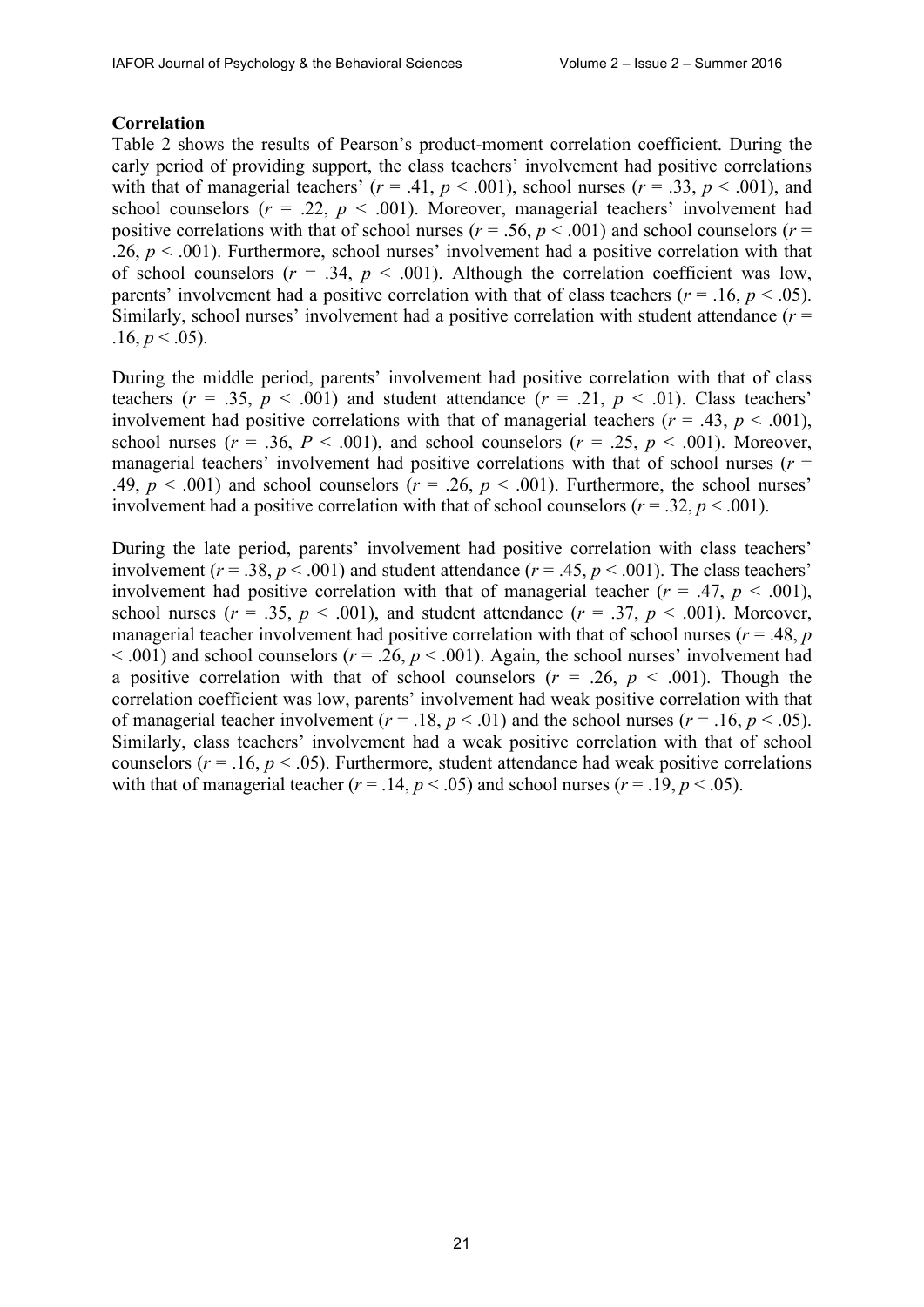## **Correlation**

Table 2 shows the results of Pearson's product-moment correlation coefficient. During the early period of providing support, the class teachers' involvement had positive correlations with that of managerial teachers'  $(r = .41, p < .001)$ , school nurses  $(r = .33, p < .001)$ , and school counselors  $(r = .22, p < .001)$ . Moreover, managerial teachers' involvement had positive correlations with that of school nurses ( $r = .56$ ,  $p < .001$ ) and school counselors ( $r =$ .26,  $p < .001$ ). Furthermore, school nurses' involvement had a positive correlation with that of school counselors  $(r = .34, p < .001)$ . Although the correlation coefficient was low, parents' involvement had a positive correlation with that of class teachers ( $r = .16$ ,  $p < .05$ ). Similarly, school nurses' involvement had a positive correlation with student attendance (*r* =  $.16, p < .05$ ).

During the middle period, parents' involvement had positive correlation with that of class teachers ( $r = .35$ ,  $p < .001$ ) and student attendance ( $r = .21$ ,  $p < .01$ ). Class teachers' involvement had positive correlations with that of managerial teachers ( $r = .43$ ,  $p < .001$ ), school nurses ( $r = .36$ ,  $P < .001$ ), and school counselors ( $r = .25$ ,  $p < .001$ ). Moreover, managerial teachers' involvement had positive correlations with that of school nurses (*r* = .49,  $p < .001$ ) and school counselors ( $r = .26$ ,  $p < .001$ ). Furthermore, the school nurses' involvement had a positive correlation with that of school counselors ( $r = .32$ ,  $p < .001$ ).

During the late period, parents' involvement had positive correlation with class teachers' involvement ( $r = .38$ ,  $p < .001$ ) and student attendance ( $r = .45$ ,  $p < .001$ ). The class teachers' involvement had positive correlation with that of managerial teacher  $(r = .47, p < .001)$ , school nurses ( $r = .35$ ,  $p < .001$ ), and student attendance ( $r = .37$ ,  $p < .001$ ). Moreover, managerial teacher involvement had positive correlation with that of school nurses ( $r = .48$ ,  $p = .48$ )  $(6.001)$  and school counselors ( $r = .26$ ,  $p < .001$ ). Again, the school nurses' involvement had a positive correlation with that of school counselors ( $r = .26$ ,  $p < .001$ ). Though the correlation coefficient was low, parents' involvement had weak positive correlation with that of managerial teacher involvement ( $r = .18$ ,  $p < .01$ ) and the school nurses ( $r = .16$ ,  $p < .05$ ). Similarly, class teachers' involvement had a weak positive correlation with that of school counselors ( $r = .16$ ,  $p < .05$ ). Furthermore, student attendance had weak positive correlations with that of managerial teacher  $(r = .14, p < .05)$  and school nurses  $(r = .19, p < .05)$ .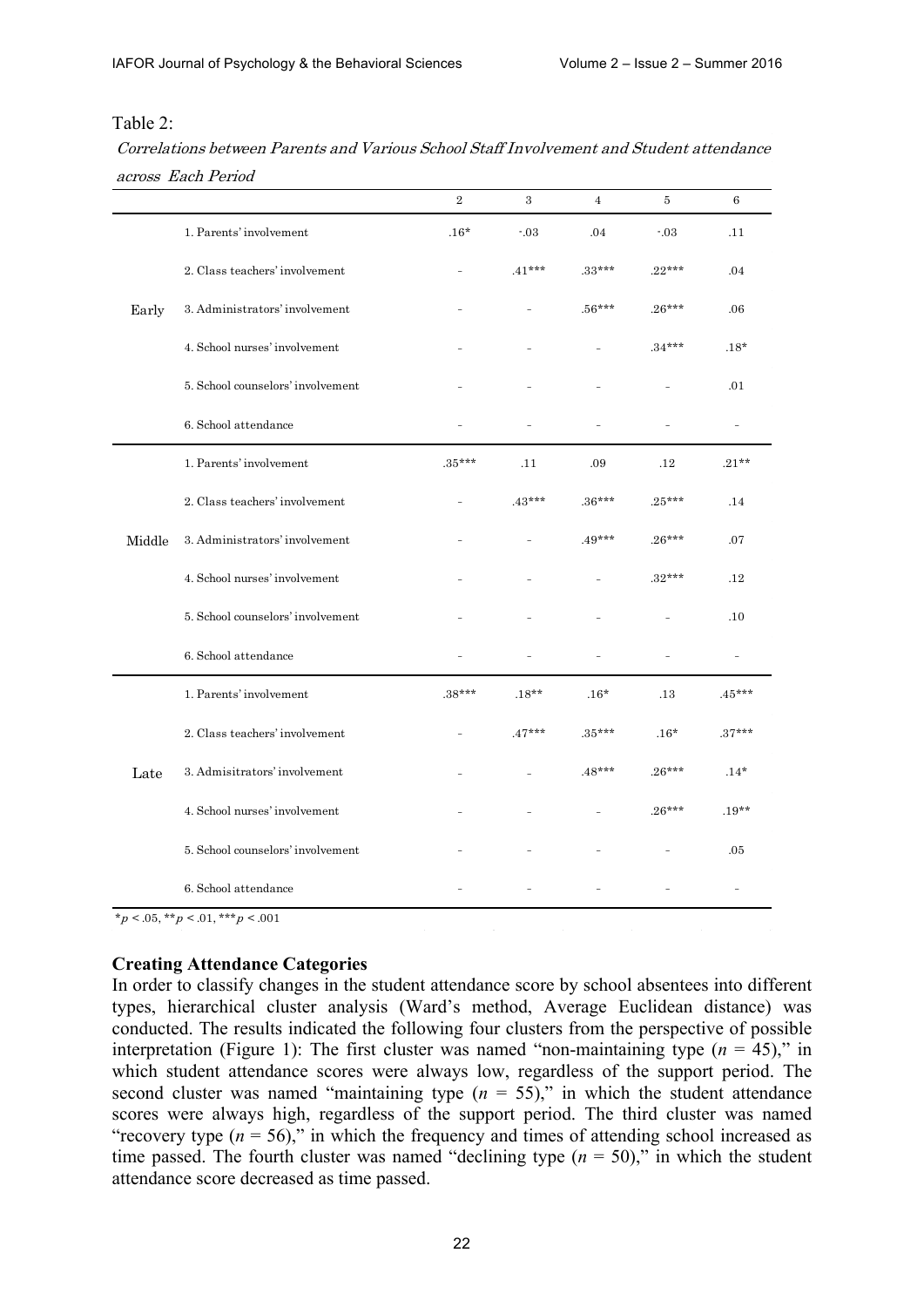#### Table 2:

| Correlations between Parents and Various School Staff Involvement and Student attendance |  |
|------------------------------------------------------------------------------------------|--|
| across Each Period                                                                       |  |

|        |                                         | $\sqrt{2}$     | 3        | $\overline{4}$ | 5        | $\,6$    |
|--------|-----------------------------------------|----------------|----------|----------------|----------|----------|
|        | 1. Parents' involvement                 | $.16*$         | $-03$    | .04            | $-03$    | .11      |
|        | 2. Class teachers' involvement          | $\overline{a}$ | $.41***$ | $.33***$       | $.22***$ | .04      |
| Early  | 3. Administrators' involvement          |                |          | $.56***$       | $.26***$ | .06      |
|        | 4. School nurses' involvement           |                |          |                | $.34***$ | $.18*$   |
|        | 5. School counselors' involvement       |                |          |                |          | .01      |
|        | 6. School attendance                    |                |          |                |          |          |
|        | 1. Parents' involvement                 | $.35***$       | .11      | .09            | .12      | $.21**$  |
|        | 2. Class teachers' involvement          |                | $.43***$ | $.36***$       | $.25***$ | .14      |
| Middle | 3. Administrators' involvement          |                |          | $.49***$       | $.26***$ | .07      |
|        | 4. School nurses' involvement           |                |          |                | $.32***$ | .12      |
|        | 5. School counselors' involvement       |                |          |                |          | $.10\,$  |
|        | 6. School attendance                    |                |          |                |          |          |
|        | 1. Parents' involvement                 | $.38***$       | $.18**$  | $.16*$         | .13      | $.45***$ |
|        | 2. Class teachers' involvement          |                | $.47***$ | $.35***$       | $.16*$   | $.37***$ |
| Late   | 3. Admisitrators' involvement           |                |          | $.48***$       | $.26***$ | $.14*$   |
|        | 4. School nurses' involvement           |                |          |                | $.26***$ | $.19**$  |
|        | 5. School counselors' involvement       |                |          |                |          | .05      |
|        | 6. School attendance                    |                |          |                |          |          |
|        | $*_p$ < .05, $*_p$ < .01, $**_p$ < .001 |                |          |                |          |          |

#### **Creating Attendance Categories**

In order to classify changes in the student attendance score by school absentees into different types, hierarchical cluster analysis (Ward's method, Average Euclidean distance) was conducted. The results indicated the following four clusters from the perspective of possible interpretation (Figure 1): The first cluster was named "non-maintaining type  $(n = 45)$ ," in which student attendance scores were always low, regardless of the support period. The second cluster was named "maintaining type  $(n = 55)$ ," in which the student attendance scores were always high, regardless of the support period. The third cluster was named "recovery type  $(n = 56)$ ," in which the frequency and times of attending school increased as time passed. The fourth cluster was named "declining type  $(n = 50)$ ," in which the student attendance score decreased as time passed.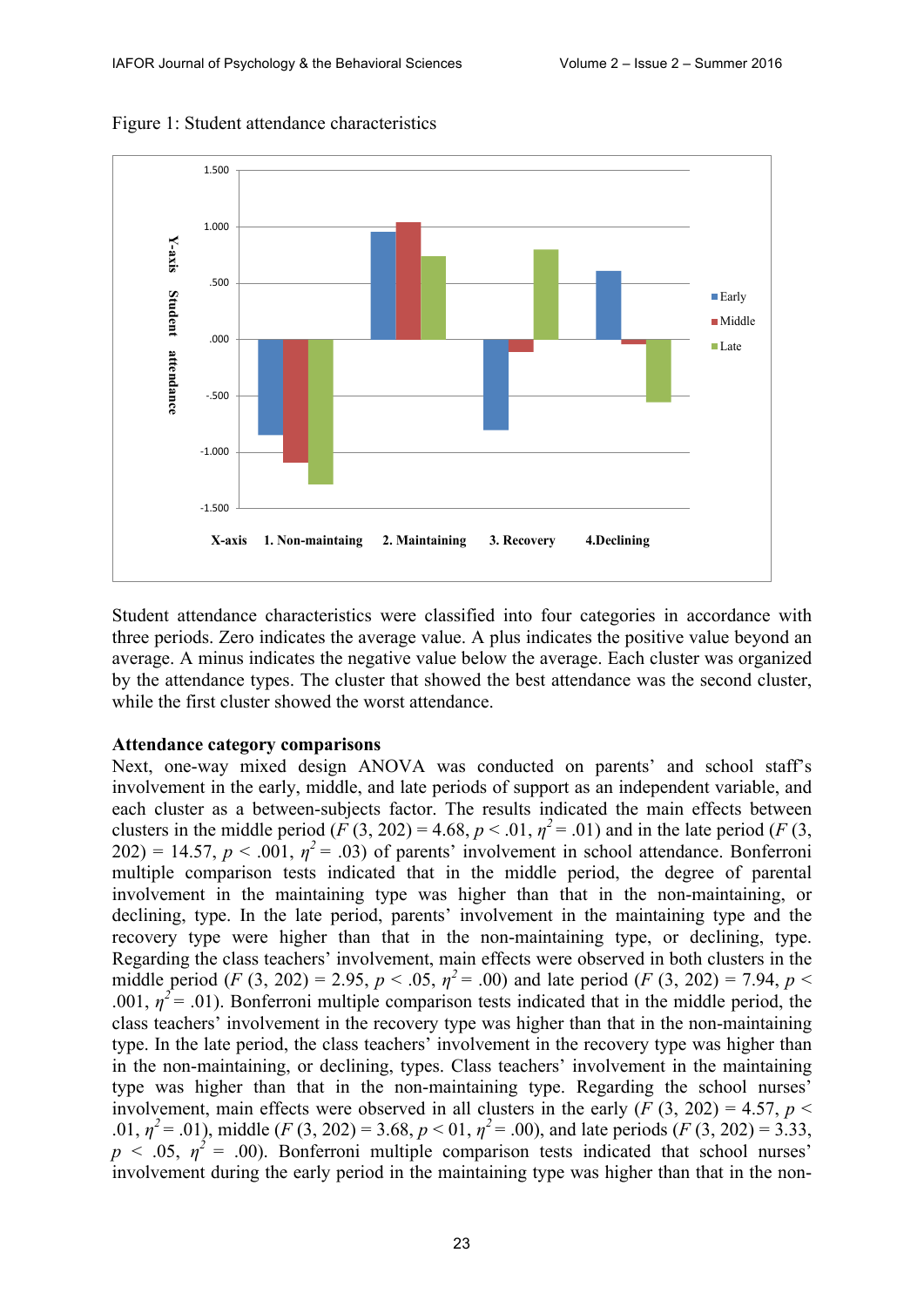

Figure 1: Student attendance characteristics

Student attendance characteristics were classified into four categories in accordance with three periods. Zero indicates the average value. A plus indicates the positive value beyond an average. A minus indicates the negative value below the average. Each cluster was organized by the attendance types. The cluster that showed the best attendance was the second cluster, while the first cluster showed the worst attendance.

#### **Attendance category comparisons**

Next, one-way mixed design ANOVA was conducted on parents' and school staff's involvement in the early, middle, and late periods of support as an independent variable, and each cluster as a between-subjects factor. The results indicated the main effects between clusters in the middle period  $(F(3, 202) = 4.68, p < .01, \eta^2 = .01)$  and in the late period  $(F(3, 202) = .01)$  $202$ ) = 14.57,  $p < .001$ ,  $\eta^2 = .03$ ) of parents' involvement in school attendance. Bonferroni multiple comparison tests indicated that in the middle period, the degree of parental involvement in the maintaining type was higher than that in the non-maintaining, or declining, type. In the late period, parents' involvement in the maintaining type and the recovery type were higher than that in the non-maintaining type, or declining, type. Regarding the class teachers' involvement, main effects were observed in both clusters in the middle period (*F* (3, 202) = 2.95,  $p < .05$ ,  $\eta^2 = .00$ ) and late period (*F* (3, 202) = 7.94,  $p <$ .001,  $\eta^2$  = .01). Bonferroni multiple comparison tests indicated that in the middle period, the class teachers' involvement in the recovery type was higher than that in the non-maintaining type. In the late period, the class teachers' involvement in the recovery type was higher than in the non-maintaining, or declining, types. Class teachers' involvement in the maintaining type was higher than that in the non-maintaining type. Regarding the school nurses' involvement, main effects were observed in all clusters in the early  $(F(3, 202) = 4.57, p <$ .01,  $\eta^2$  = .01), middle (*F* (3, 202) = 3.68, *p* < 01,  $\eta^2$  = .00), and late periods (*F* (3, 202) = 3.33,  $p < .05$ ,  $\eta^2 = .00$ ). Bonferroni multiple comparison tests indicated that school nurses' involvement during the early period in the maintaining type was higher than that in the non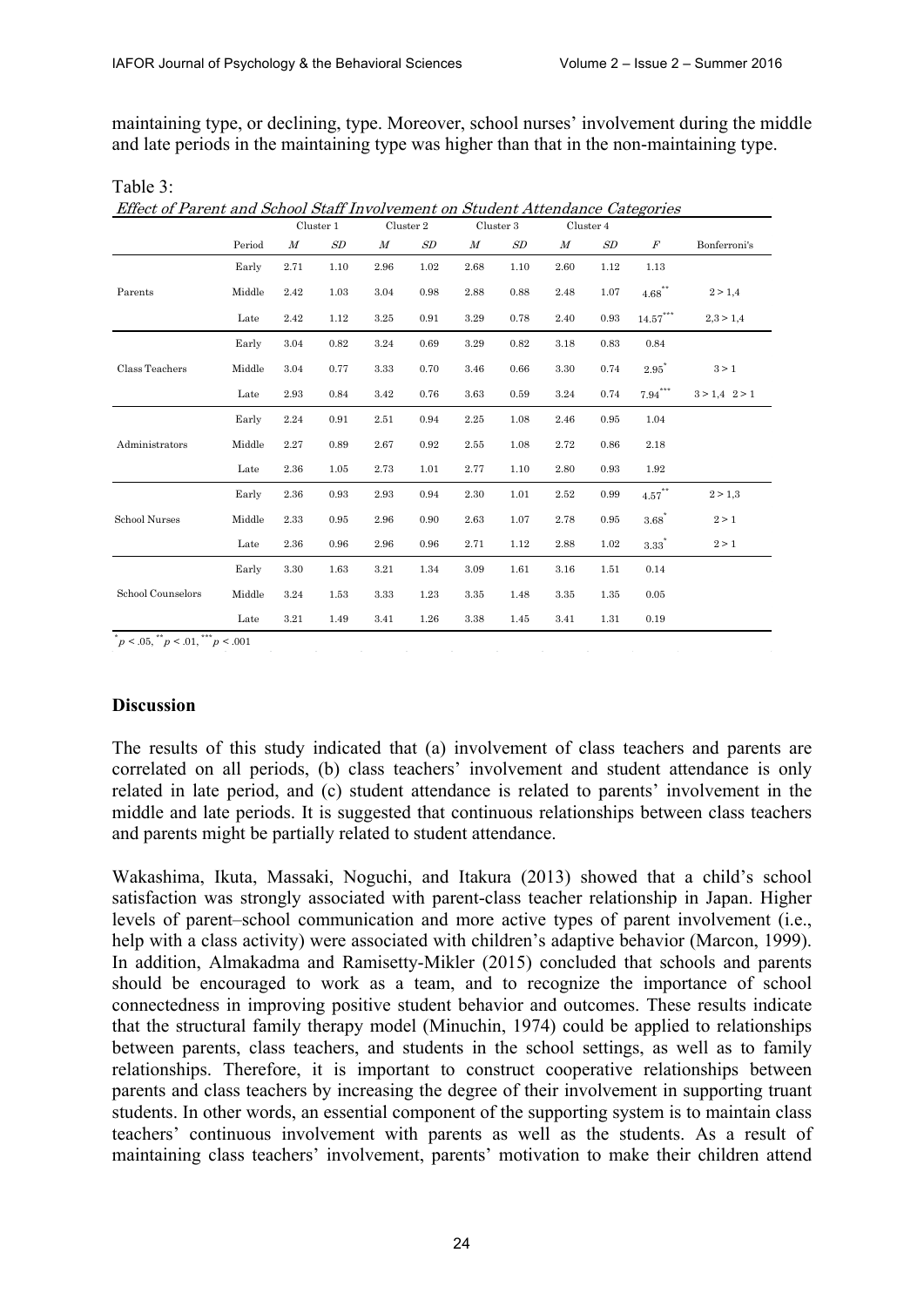maintaining type, or declining, type. Moreover, school nurses' involvement during the middle and late periods in the maintaining type was higher than that in the non-maintaining type.

|                   |        |                  | Cluster 1 | Effect of Parent and School Staff Involvement on Student Attendance Categories<br>Cluster 2<br>Cluster 3 |      |                  | Cluster 4 |                  |      |                                |                   |
|-------------------|--------|------------------|-----------|----------------------------------------------------------------------------------------------------------|------|------------------|-----------|------------------|------|--------------------------------|-------------------|
|                   | Period | $\boldsymbol{M}$ | SD        | $\boldsymbol{M}$                                                                                         | SD   | $\boldsymbol{M}$ | SD        | $\boldsymbol{M}$ | SD   | $\boldsymbol{F}$               | Bonferroni's      |
|                   | Early  | 2.71             | 1.10      | 2.96                                                                                                     | 1.02 | 2.68             | 1.10      | 2.60             | 1.12 | 1.13                           |                   |
| Parents           | Middle | 2.42             | 1.03      | 3.04                                                                                                     | 0.98 | 2.88             | 0.88      | 2.48             | 1.07 | $4.68^{**}$                    | 2 > 1.4           |
|                   | Late   | 2.42             | 1.12      | 3.25                                                                                                     | 0.91 | 3.29             | 0.78      | 2.40             | 0.93 | $14.57^\ast{}^{\ast}{}^{\ast}$ | 2,3 > 1,4         |
|                   | Early  | 3.04             | 0.82      | 3.24                                                                                                     | 0.69 | 3.29             | 0.82      | 3.18             | 0.83 | 0.84                           |                   |
| Class Teachers    | Middle | 3.04             | 0.77      | 3.33                                                                                                     | 0.70 | 3.46             | 0.66      | 3.30             | 0.74 | $2.95^{"}$                     | $3 > 1$           |
|                   | Late   | 2.93             | 0.84      | 3.42                                                                                                     | 0.76 | 3.63             | 0.59      | 3.24             | 0.74 | $7.94***$                      | $3 > 1,4$ $2 > 1$ |
|                   | Early  | 2.24             | 0.91      | 2.51                                                                                                     | 0.94 | 2.25             | 1.08      | 2.46             | 0.95 | 1.04                           |                   |
| Administrators    | Middle | 2.27             | 0.89      | 2.67                                                                                                     | 0.92 | 2.55             | 1.08      | 2.72             | 0.86 | 2.18                           |                   |
|                   | Late   | 2.36             | 1.05      | 2.73                                                                                                     | 1.01 | 2.77             | 1.10      | 2.80             | 0.93 | 1.92                           |                   |
|                   | Early  | 2.36             | 0.93      | 2.93                                                                                                     | 0.94 | 2.30             | 1.01      | 2.52             | 0.99 | $4.57^{**}$                    | 2 > 1.3           |
| School Nurses     | Middle | 2.33             | 0.95      | 2.96                                                                                                     | 0.90 | 2.63             | 1.07      | 2.78             | 0.95 | $3.68^*$                       | 2 > 1             |
|                   | Late   | 2.36             | 0.96      | 2.96                                                                                                     | 0.96 | 2.71             | 1.12      | 2.88             | 1.02 | 3.33                           | 2 > 1             |
|                   | Early  | 3.30             | 1.63      | 3.21                                                                                                     | 1.34 | 3.09             | 1.61      | 3.16             | 1.51 | 0.14                           |                   |
| School Counselors | Middle | 3.24             | 1.53      | 3.33                                                                                                     | 1.23 | 3.35             | 1.48      | $3.35\,$         | 1.35 | $\rm 0.05$                     |                   |
|                   | Late   | 3.21             | 1.49      | 3.41                                                                                                     | 1.26 | 3.38             | 1.45      | 3.41             | 1.31 | 0.19                           |                   |

Table 3:

 $p < .05,$   $\binom{m}{p} < .01,$   $\binom{m}{p} < .001$ 

#### **Discussion**

The results of this study indicated that (a) involvement of class teachers and parents are correlated on all periods, (b) class teachers' involvement and student attendance is only related in late period, and (c) student attendance is related to parents' involvement in the middle and late periods. It is suggested that continuous relationships between class teachers and parents might be partially related to student attendance.

Wakashima, Ikuta, Massaki, Noguchi, and Itakura (2013) showed that a child's school satisfaction was strongly associated with parent-class teacher relationship in Japan. Higher levels of parent–school communication and more active types of parent involvement (i.e., help with a class activity) were associated with children's adaptive behavior (Marcon, 1999). In addition, Almakadma and Ramisetty-Mikler (2015) concluded that schools and parents should be encouraged to work as a team, and to recognize the importance of school connectedness in improving positive student behavior and outcomes. These results indicate that the structural family therapy model (Minuchin, 1974) could be applied to relationships between parents, class teachers, and students in the school settings, as well as to family relationships. Therefore, it is important to construct cooperative relationships between parents and class teachers by increasing the degree of their involvement in supporting truant students. In other words, an essential component of the supporting system is to maintain class teachers' continuous involvement with parents as well as the students. As a result of maintaining class teachers' involvement, parents' motivation to make their children attend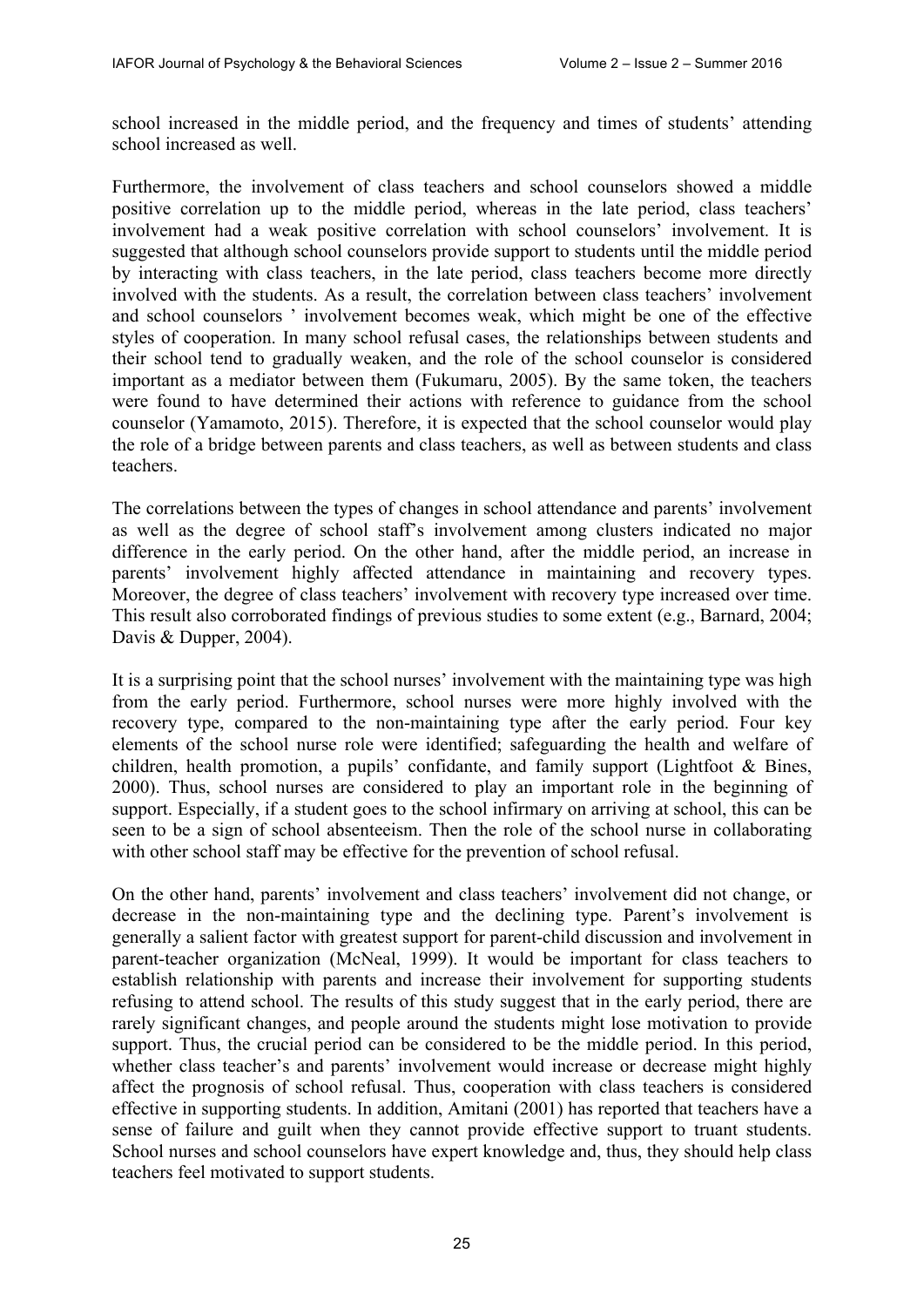school increased in the middle period, and the frequency and times of students' attending school increased as well.

Furthermore, the involvement of class teachers and school counselors showed a middle positive correlation up to the middle period, whereas in the late period, class teachers' involvement had a weak positive correlation with school counselors' involvement. It is suggested that although school counselors provide support to students until the middle period by interacting with class teachers, in the late period, class teachers become more directly involved with the students. As a result, the correlation between class teachers' involvement and school counselors ' involvement becomes weak, which might be one of the effective styles of cooperation. In many school refusal cases, the relationships between students and their school tend to gradually weaken, and the role of the school counselor is considered important as a mediator between them (Fukumaru, 2005). By the same token, the teachers were found to have determined their actions with reference to guidance from the school counselor (Yamamoto, 2015). Therefore, it is expected that the school counselor would play the role of a bridge between parents and class teachers, as well as between students and class teachers.

The correlations between the types of changes in school attendance and parents' involvement as well as the degree of school staff's involvement among clusters indicated no major difference in the early period. On the other hand, after the middle period, an increase in parents' involvement highly affected attendance in maintaining and recovery types. Moreover, the degree of class teachers' involvement with recovery type increased over time. This result also corroborated findings of previous studies to some extent (e.g., Barnard, 2004; Davis & Dupper, 2004).

It is a surprising point that the school nurses' involvement with the maintaining type was high from the early period. Furthermore, school nurses were more highly involved with the recovery type, compared to the non-maintaining type after the early period. Four key elements of the school nurse role were identified; safeguarding the health and welfare of children, health promotion, a pupils' confidante, and family support (Lightfoot & Bines, 2000). Thus, school nurses are considered to play an important role in the beginning of support. Especially, if a student goes to the school infirmary on arriving at school, this can be seen to be a sign of school absenteeism. Then the role of the school nurse in collaborating with other school staff may be effective for the prevention of school refusal.

On the other hand, parents' involvement and class teachers' involvement did not change, or decrease in the non-maintaining type and the declining type. Parent's involvement is generally a salient factor with greatest support for parent-child discussion and involvement in parent-teacher organization (McNeal, 1999). It would be important for class teachers to establish relationship with parents and increase their involvement for supporting students refusing to attend school. The results of this study suggest that in the early period, there are rarely significant changes, and people around the students might lose motivation to provide support. Thus, the crucial period can be considered to be the middle period. In this period, whether class teacher's and parents' involvement would increase or decrease might highly affect the prognosis of school refusal. Thus, cooperation with class teachers is considered effective in supporting students. In addition, Amitani (2001) has reported that teachers have a sense of failure and guilt when they cannot provide effective support to truant students. School nurses and school counselors have expert knowledge and, thus, they should help class teachers feel motivated to support students.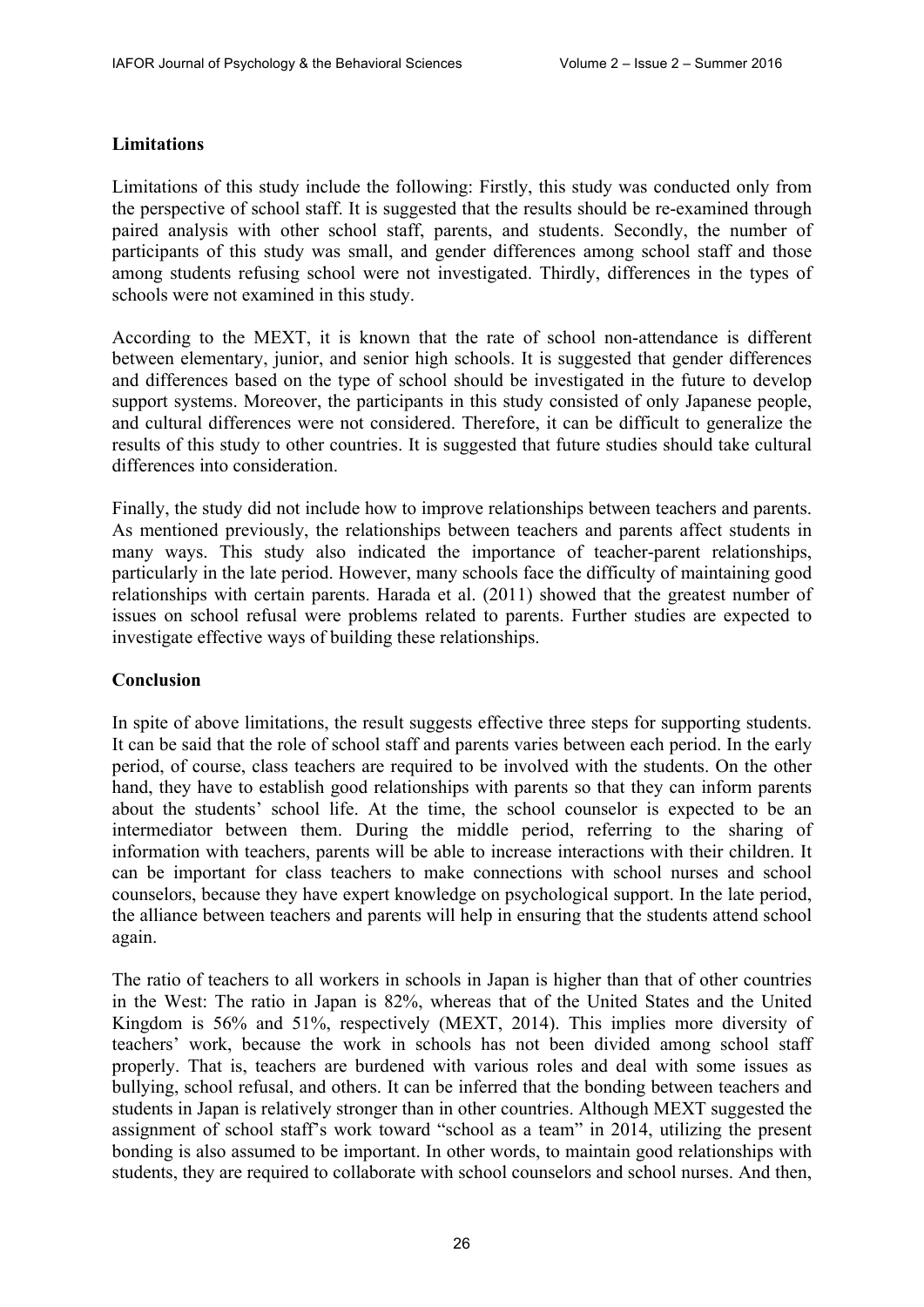### **Limitations**

Limitations of this study include the following: Firstly, this study was conducted only from the perspective of school staff. It is suggested that the results should be re-examined through paired analysis with other school staff, parents, and students. Secondly, the number of participants of this study was small, and gender differences among school staff and those among students refusing school were not investigated. Thirdly, differences in the types of schools were not examined in this study.

According to the MEXT, it is known that the rate of school non-attendance is different between elementary, junior, and senior high schools. It is suggested that gender differences and differences based on the type of school should be investigated in the future to develop support systems. Moreover, the participants in this study consisted of only Japanese people, and cultural differences were not considered. Therefore, it can be difficult to generalize the results of this study to other countries. It is suggested that future studies should take cultural differences into consideration.

Finally, the study did not include how to improve relationships between teachers and parents. As mentioned previously, the relationships between teachers and parents affect students in many ways. This study also indicated the importance of teacher-parent relationships, particularly in the late period. However, many schools face the difficulty of maintaining good relationships with certain parents. Harada et al. (2011) showed that the greatest number of issues on school refusal were problems related to parents. Further studies are expected to investigate effective ways of building these relationships.

## **Conclusion**

In spite of above limitations, the result suggests effective three steps for supporting students. It can be said that the role of school staff and parents varies between each period. In the early period, of course, class teachers are required to be involved with the students. On the other hand, they have to establish good relationships with parents so that they can inform parents about the students' school life. At the time, the school counselor is expected to be an intermediator between them. During the middle period, referring to the sharing of information with teachers, parents will be able to increase interactions with their children. It can be important for class teachers to make connections with school nurses and school counselors, because they have expert knowledge on psychological support. In the late period, the alliance between teachers and parents will help in ensuring that the students attend school again.

The ratio of teachers to all workers in schools in Japan is higher than that of other countries in the West: The ratio in Japan is 82%, whereas that of the United States and the United Kingdom is 56% and 51%, respectively (MEXT, 2014). This implies more diversity of teachers' work, because the work in schools has not been divided among school staff properly. That is, teachers are burdened with various roles and deal with some issues as bullying, school refusal, and others. It can be inferred that the bonding between teachers and students in Japan is relatively stronger than in other countries. Although MEXT suggested the assignment of school staff's work toward "school as a team" in 2014, utilizing the present bonding is also assumed to be important. In other words, to maintain good relationships with students, they are required to collaborate with school counselors and school nurses. And then,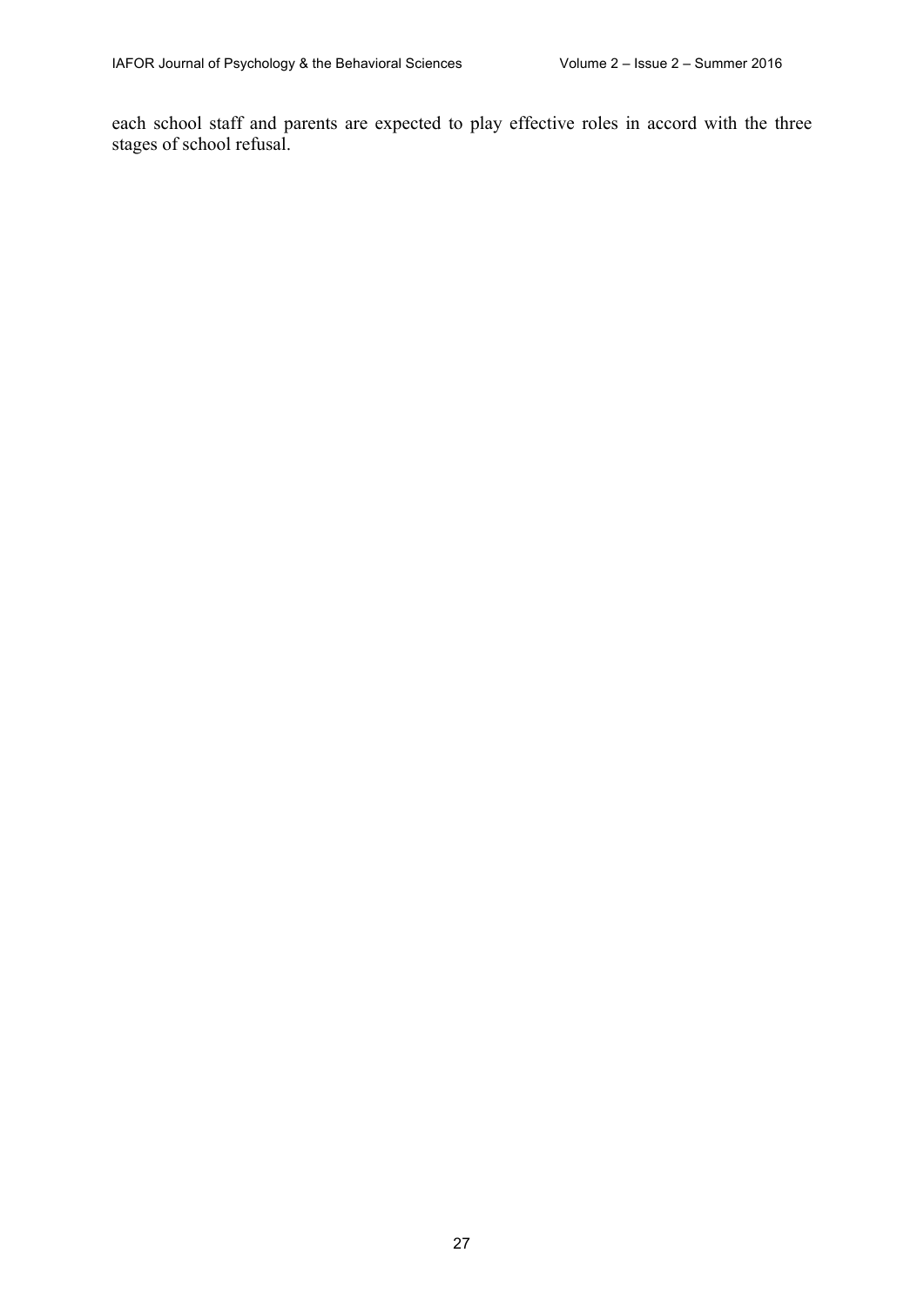each school staff and parents are expected to play effective roles in accord with the three stages of school refusal.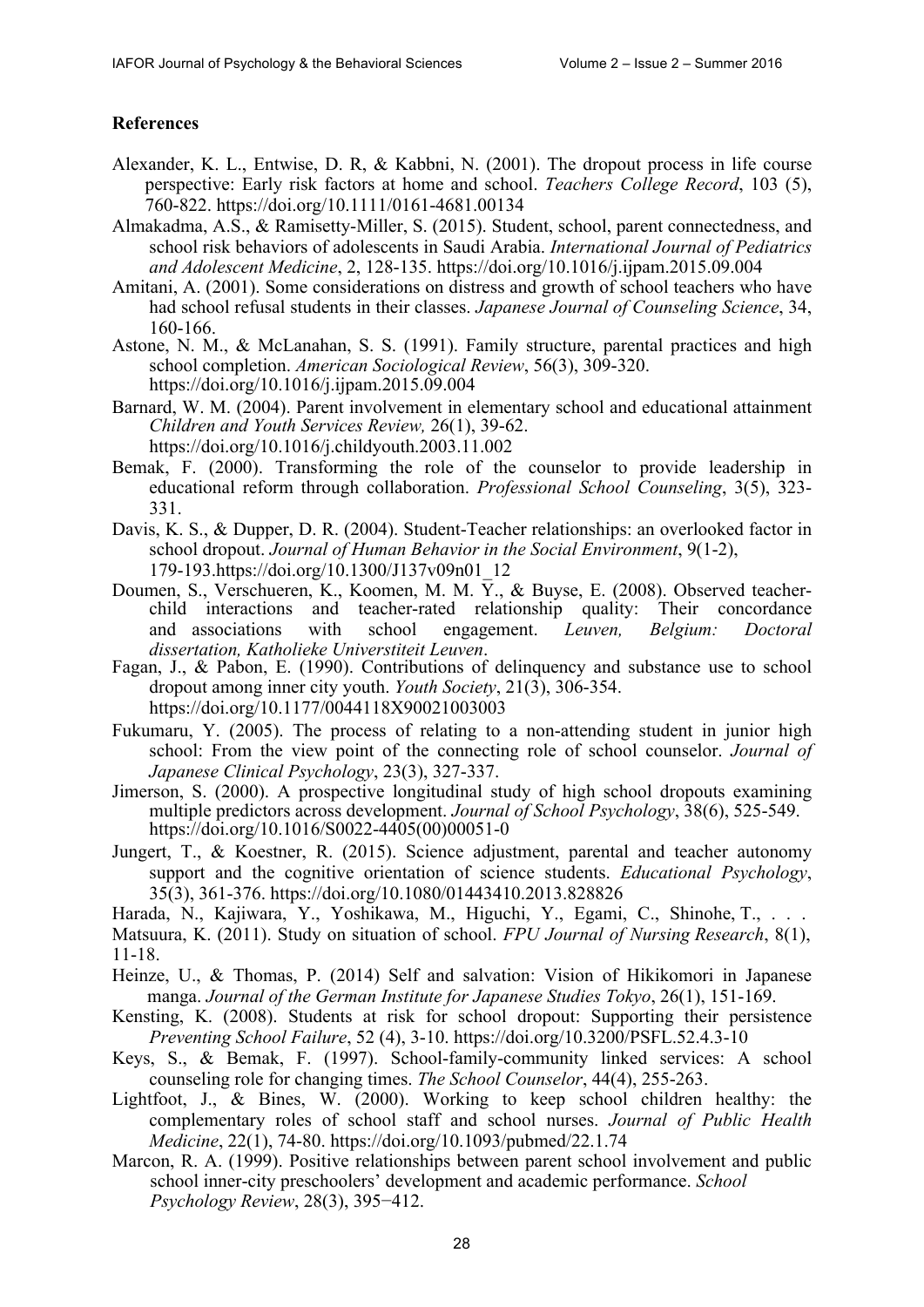# **References**

- Alexander, K. L., Entwise, D. R, & Kabbni, N. (2001). The dropout process in life course perspective: Early risk factors at home and school. *Teachers College Record*, 103 (5), 760-822.<https://doi.org/10.1111/0161-4681.00134>
- Almakadma, A.S., & Ramisetty-Miller, S. (2015). Student, school, parent connectedness, and school risk behaviors of adolescents in Saudi Arabia. *International Journal of Pediatrics and Adolescent Medicine*, 2, 128-135. <https://doi.org/10.1016/j.ijpam.2015.09.004>
- Amitani, A. (2001). Some considerations on distress and growth of school teachers who have had school refusal students in their classes. *Japanese Journal of Counseling Science*, 34, 160-166.
- Astone, N. M., & McLanahan, S. S. (1991). Family structure, parental practices and high school completion. *American Sociological Review*, 56(3), 309-320. <https://doi.org/10.1016/j.ijpam.2015.09.004>
- Barnard, W. M. (2004). Parent involvement in elementary school and educational attainment *Children and Youth Services Review,* 26(1), 39-62. <https://doi.org/10.1016/j.childyouth.2003.11.002>
- Bemak, F. (2000). Transforming the role of the counselor to provide leadership in educational reform through collaboration. *Professional School Counseling*, 3(5), 323- 331.
- Davis, K. S., & Dupper, D. R. (2004). Student-Teacher relationships: an overlooked factor in school dropout. *Journal of Human Behavior in the Social Environment*, 9(1-2), 179-193.[https://doi.org/10.1300/J137v09n01\\_12](https://doi.org/10.1300/J137v09n01_12)
- Doumen, S., Verschueren, K., Koomen, M. M.  $\overline{Y}$ ., & Buyse, E. (2008). Observed teacherchild interactions and teacher-rated relationship quality: Their concordance and associations with school engagement. *Leuven, Belgium: Doctoral dissertation, Katholieke Universtiteit Leuven*.
- Fagan, J., & Pabon, E. (1990). Contributions of delinquency and substance use to school dropout among inner city youth. *Youth Society*, 21(3), 306-354. <https://doi.org/10.1177/0044118X90021003003>
- Fukumaru, Y. (2005). The process of relating to a non-attending student in junior high school: From the view point of the connecting role of school counselor. *Journal of Japanese Clinical Psychology*, 23(3), 327-337.
- Jimerson, S. (2000). A prospective longitudinal study of high school dropouts examining multiple predictors across development. *Journal of School Psychology*, 38(6), 525-549. [https://doi.org/10.1016/S0022-4405\(00\)00051-0](https://doi.org/10.1016/S0022-4405(00)00051-0)
- Jungert, T., & Koestner, R. (2015). Science adjustment, parental and teacher autonomy support and the cognitive orientation of science students. *Educational Psychology*, 35(3), 361-376. <https://doi.org/10.1080/01443410.2013.828826>
- Harada, N., Kajiwara, Y., Yoshikawa, M., Higuchi, Y., Egami, C., Shinohe, T., . . . Matsuura, K. (2011). Study on situation of school. *FPU Journal of Nursing Research*, 8(1), 11-18.
- Heinze, U., & Thomas, P. (2014) Self and salvation: Vision of Hikikomori in Japanese manga. *Journal of the German Institute for Japanese Studies Tokyo*, 26(1), 151-169.
- Kensting, K. (2008). Students at risk for school dropout: Supporting their persistence *Preventing School Failure*, 52 (4), 3-10. <https://doi.org/10.3200/PSFL.52.4.3-10>
- Keys, S., & Bemak, F. (1997). School-family-community linked services: A school counseling role for changing times. *The School Counselor*, 44(4), 255-263.
- Lightfoot, J., & Bines, W. (2000). Working to keep school children healthy: the complementary roles of school staff and school nurses. *Journal of Public Health Medicine*, 22(1), 74-80. <https://doi.org/10.1093/pubmed/22.1.74>
- Marcon, R. A. (1999). Positive relationships between parent school involvement and public school inner-city preschoolers' development and academic performance. *School Psychology Review*, 28(3), 395−412.